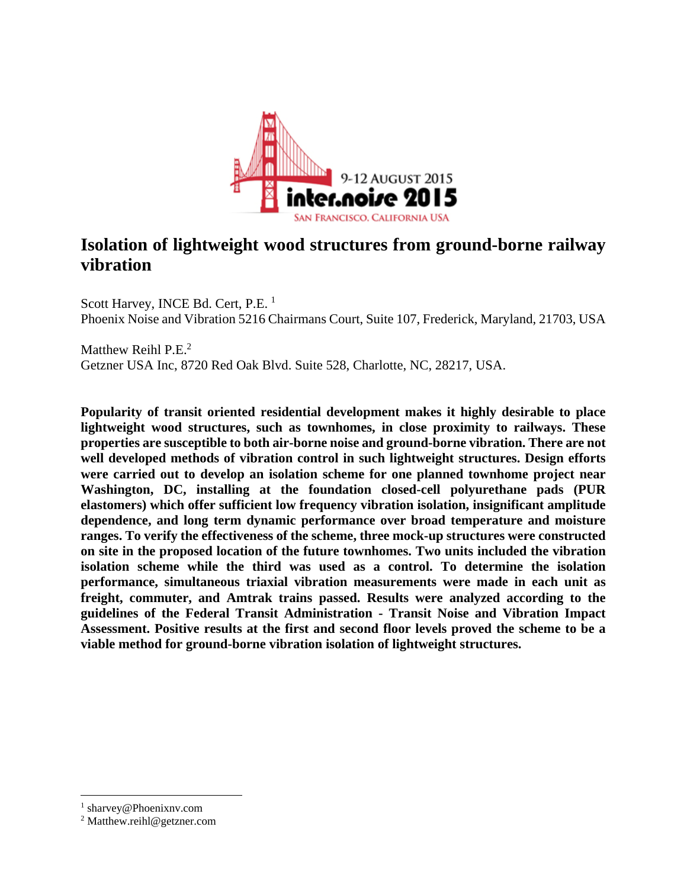

# **Isolation of lightweight wood structures from ground-borne railway vibration**

Scott Harvey, INCE Bd. Cert, P.E.<sup>1</sup> Phoenix Noise and Vibration 5216 Chairmans Court, Suite 107, Frederick, Maryland, 21703, USA

Matthew Reihl  $P.E.<sup>2</sup>$ Getzner USA Inc, 8720 Red Oak Blvd. Suite 528, Charlotte, NC, 28217, USA.

**Popularity of transit oriented residential development makes it highly desirable to place lightweight wood structures, such as townhomes, in close proximity to railways. These properties are susceptible to both air-borne noise and ground-borne vibration. There are not well developed methods of vibration control in such lightweight structures. Design efforts were carried out to develop an isolation scheme for one planned townhome project near Washington, DC, installing at the foundation closed-cell polyurethane pads (PUR elastomers) which offer sufficient low frequency vibration isolation, insignificant amplitude dependence, and long term dynamic performance over broad temperature and moisture ranges. To verify the effectiveness of the scheme, three mock-up structures were constructed on site in the proposed location of the future townhomes. Two units included the vibration isolation scheme while the third was used as a control. To determine the isolation performance, simultaneous triaxial vibration measurements were made in each unit as freight, commuter, and Amtrak trains passed. Results were analyzed according to the guidelines of the Federal Transit Administration - Transit Noise and Vibration Impact Assessment. Positive results at the first and second floor levels proved the scheme to be a viable method for ground-borne vibration isolation of lightweight structures.** 

 $\overline{a}$ 

<sup>1</sup> sharvey@Phoenixnv.com

<sup>&</sup>lt;sup>2</sup> Matthew.reihl@getzner.com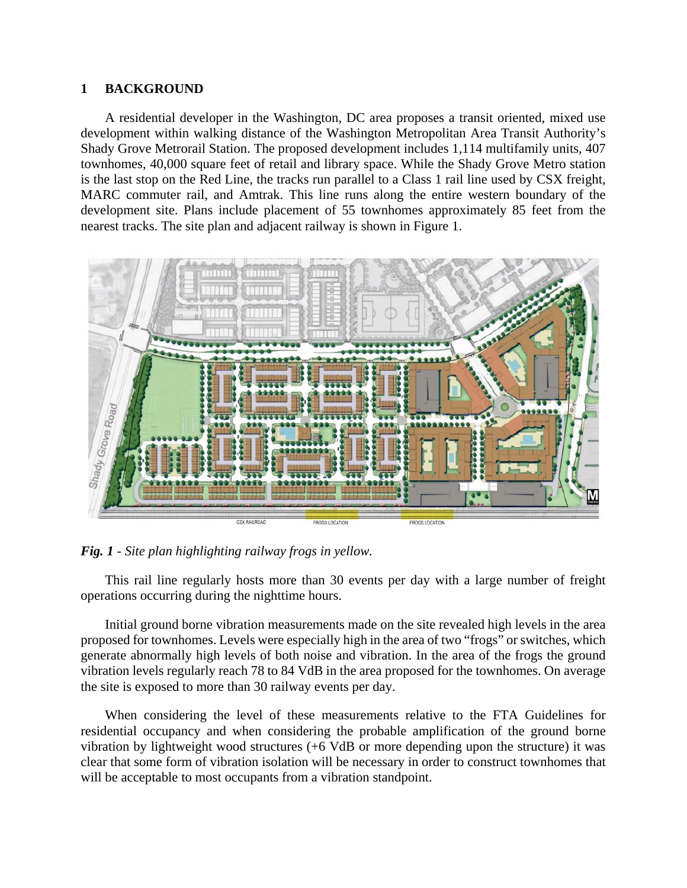#### **1 BACKGROUND**

A residential developer in the Washington, DC area proposes a transit oriented, mixed use development within walking distance of the Washington Metropolitan Area Transit Authority's Shady Grove Metrorail Station. The proposed development includes 1,114 multifamily units, 407 townhomes, 40,000 square feet of retail and library space. While the Shady Grove Metro station is the last stop on the Red Line, the tracks run parallel to a Class 1 rail line used by CSX freight, MARC commuter rail, and Amtrak. This line runs along the entire western boundary of the development site. Plans include placement of 55 townhomes approximately 85 feet from the nearest tracks. The site plan and adjacent railway is shown in Figure 1.



#### *Fig. 1 - Site plan highlighting railway frogs in yellow.*

This rail line regularly hosts more than 30 events per day with a large number of freight operations occurring during the nighttime hours.

Initial ground borne vibration measurements made on the site revealed high levels in the area proposed for townhomes. Levels were especially high in the area of two "frogs" or switches, which generate abnormally high levels of both noise and vibration. In the area of the frogs the ground vibration levels regularly reach 78 to 84 VdB in the area proposed for the townhomes. On average the site is exposed to more than 30 railway events per day.

When considering the level of these measurements relative to the FTA Guidelines for residential occupancy and when considering the probable amplification of the ground borne vibration by lightweight wood structures (+6 VdB or more depending upon the structure) it was clear that some form of vibration isolation will be necessary in order to construct townhomes that will be acceptable to most occupants from a vibration standpoint.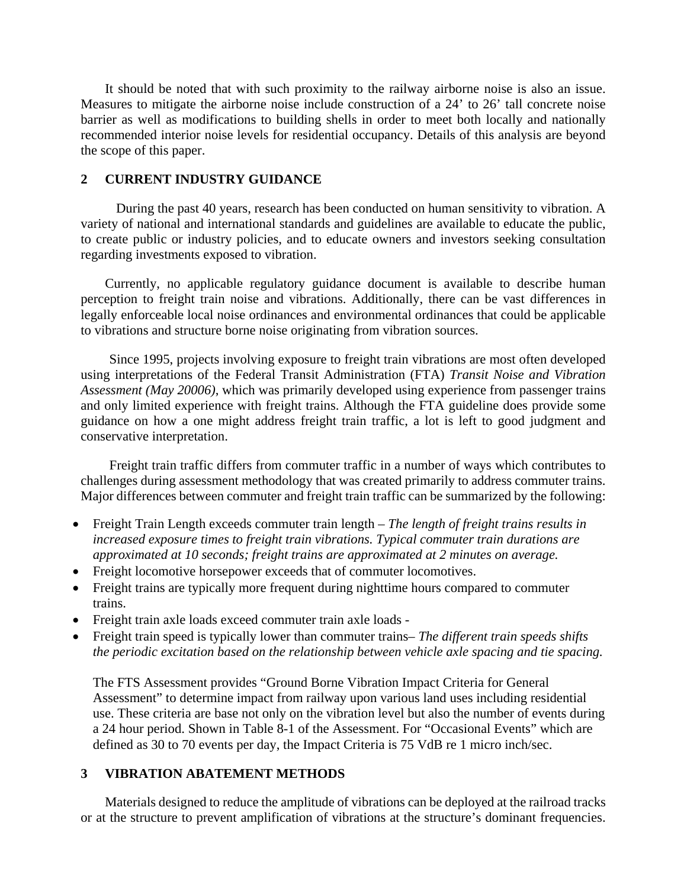It should be noted that with such proximity to the railway airborne noise is also an issue. Measures to mitigate the airborne noise include construction of a 24' to 26' tall concrete noise barrier as well as modifications to building shells in order to meet both locally and nationally recommended interior noise levels for residential occupancy. Details of this analysis are beyond the scope of this paper.

#### **2 CURRENT INDUSTRY GUIDANCE**

 During the past 40 years, research has been conducted on human sensitivity to vibration. A variety of national and international standards and guidelines are available to educate the public, to create public or industry policies, and to educate owners and investors seeking consultation regarding investments exposed to vibration.

Currently, no applicable regulatory guidance document is available to describe human perception to freight train noise and vibrations. Additionally, there can be vast differences in legally enforceable local noise ordinances and environmental ordinances that could be applicable to vibrations and structure borne noise originating from vibration sources.

 Since 1995, projects involving exposure to freight train vibrations are most often developed using interpretations of the Federal Transit Administration (FTA) *Transit Noise and Vibration Assessment (May 20006)*, which was primarily developed using experience from passenger trains and only limited experience with freight trains. Although the FTA guideline does provide some guidance on how a one might address freight train traffic, a lot is left to good judgment and conservative interpretation.

 Freight train traffic differs from commuter traffic in a number of ways which contributes to challenges during assessment methodology that was created primarily to address commuter trains. Major differences between commuter and freight train traffic can be summarized by the following:

- Freight Train Length exceeds commuter train length *The length of freight trains results in increased exposure times to freight train vibrations. Typical commuter train durations are approximated at 10 seconds; freight trains are approximated at 2 minutes on average.*
- Freight locomotive horsepower exceeds that of commuter locomotives.
- Freight trains are typically more frequent during nighttime hours compared to commuter trains.
- Freight train axle loads exceed commuter train axle loads -
- Freight train speed is typically lower than commuter trains– *The different train speeds shifts the periodic excitation based on the relationship between vehicle axle spacing and tie spacing.*

The FTS Assessment provides "Ground Borne Vibration Impact Criteria for General Assessment" to determine impact from railway upon various land uses including residential use. These criteria are base not only on the vibration level but also the number of events during a 24 hour period. Shown in Table 8-1 of the Assessment. For "Occasional Events" which are defined as 30 to 70 events per day, the Impact Criteria is 75 VdB re 1 micro inch/sec.

#### **3 VIBRATION ABATEMENT METHODS**

Materials designed to reduce the amplitude of vibrations can be deployed at the railroad tracks or at the structure to prevent amplification of vibrations at the structure's dominant frequencies.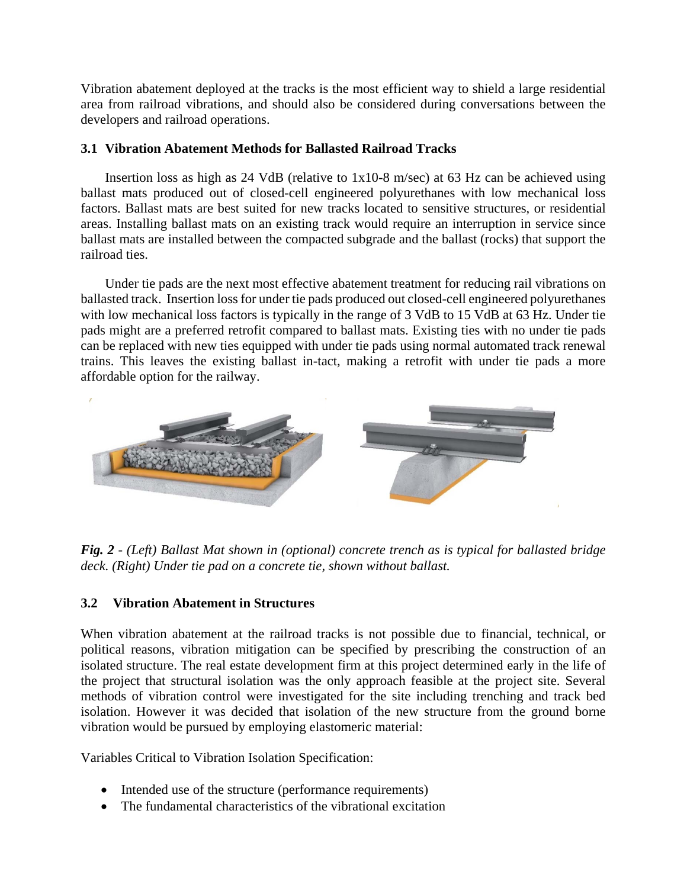Vibration abatement deployed at the tracks is the most efficient way to shield a large residential area from railroad vibrations, and should also be considered during conversations between the developers and railroad operations.

## **3.1 Vibration Abatement Methods for Ballasted Railroad Tracks**

Insertion loss as high as 24 VdB (relative to 1x10-8 m/sec) at 63 Hz can be achieved using ballast mats produced out of closed-cell engineered polyurethanes with low mechanical loss factors. Ballast mats are best suited for new tracks located to sensitive structures, or residential areas. Installing ballast mats on an existing track would require an interruption in service since ballast mats are installed between the compacted subgrade and the ballast (rocks) that support the railroad ties.

Under tie pads are the next most effective abatement treatment for reducing rail vibrations on ballasted track. Insertion loss for under tie pads produced out closed-cell engineered polyurethanes with low mechanical loss factors is typically in the range of 3 VdB to 15 VdB at 63 Hz. Under tie pads might are a preferred retrofit compared to ballast mats. Existing ties with no under tie pads can be replaced with new ties equipped with under tie pads using normal automated track renewal trains. This leaves the existing ballast in-tact, making a retrofit with under tie pads a more affordable option for the railway.



*Fig. 2 - (Left) Ballast Mat shown in (optional) concrete trench as is typical for ballasted bridge deck. (Right) Under tie pad on a concrete tie, shown without ballast.* 

# **3.2 Vibration Abatement in Structures**

When vibration abatement at the railroad tracks is not possible due to financial, technical, or political reasons, vibration mitigation can be specified by prescribing the construction of an isolated structure. The real estate development firm at this project determined early in the life of the project that structural isolation was the only approach feasible at the project site. Several methods of vibration control were investigated for the site including trenching and track bed isolation. However it was decided that isolation of the new structure from the ground borne vibration would be pursued by employing elastomeric material:

Variables Critical to Vibration Isolation Specification:

- Intended use of the structure (performance requirements)
- The fundamental characteristics of the vibrational excitation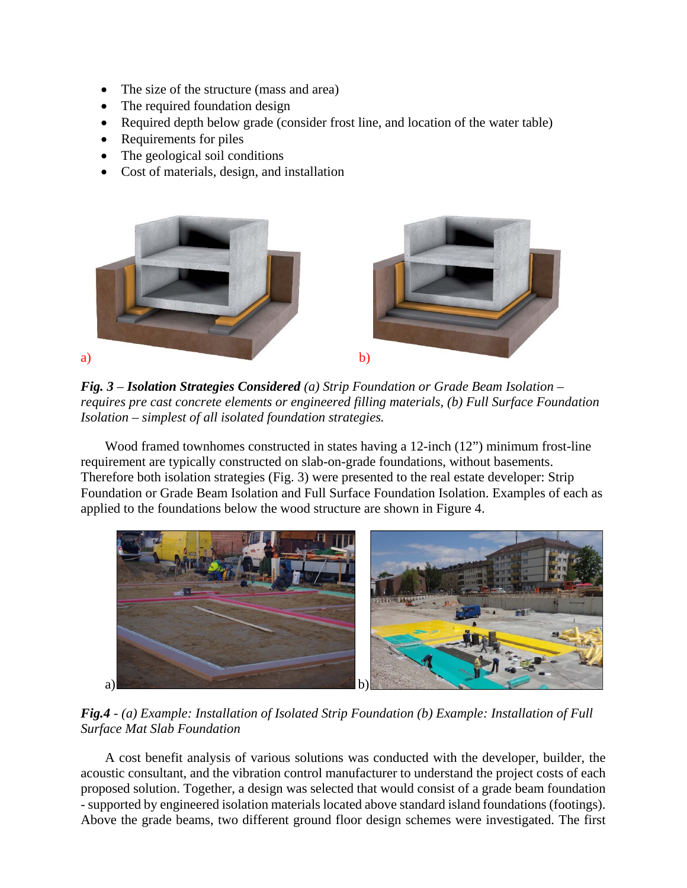- The size of the structure (mass and area)
- The required foundation design
- Required depth below grade (consider frost line, and location of the water table)
- Requirements for piles
- The geological soil conditions
- Cost of materials, design, and installation



*Fig. 3 – Isolation Strategies Considered (a) Strip Foundation or Grade Beam Isolation – requires pre cast concrete elements or engineered filling materials, (b) Full Surface Foundation Isolation – simplest of all isolated foundation strategies.*

Wood framed townhomes constructed in states having a 12-inch (12") minimum frost-line requirement are typically constructed on slab-on-grade foundations, without basements. Therefore both isolation strategies (Fig. 3) were presented to the real estate developer: Strip Foundation or Grade Beam Isolation and Full Surface Foundation Isolation. Examples of each as applied to the foundations below the wood structure are shown in Figure 4.



*Fig.4 - (a) Example: Installation of Isolated Strip Foundation (b) Example: Installation of Full Surface Mat Slab Foundation* 

A cost benefit analysis of various solutions was conducted with the developer, builder, the acoustic consultant, and the vibration control manufacturer to understand the project costs of each proposed solution. Together, a design was selected that would consist of a grade beam foundation - supported by engineered isolation materials located above standard island foundations (footings). Above the grade beams, two different ground floor design schemes were investigated. The first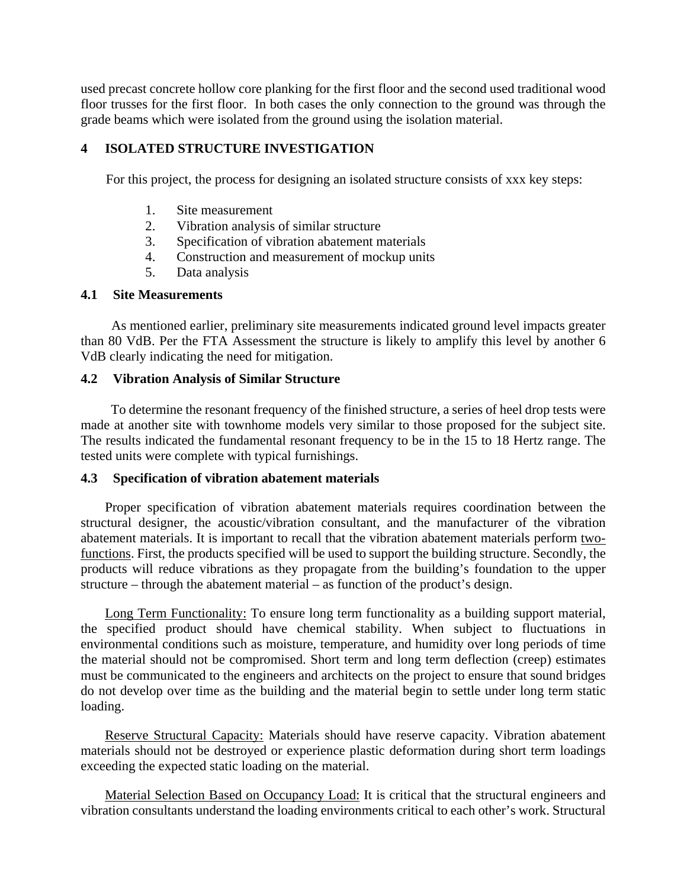used precast concrete hollow core planking for the first floor and the second used traditional wood floor trusses for the first floor. In both cases the only connection to the ground was through the grade beams which were isolated from the ground using the isolation material.

# **4 ISOLATED STRUCTURE INVESTIGATION**

For this project, the process for designing an isolated structure consists of xxx key steps:

- 1. Site measurement
- 2. Vibration analysis of similar structure
- 3. Specification of vibration abatement materials
- 4. Construction and measurement of mockup units
- 5. Data analysis

#### **4.1 Site Measurements**

As mentioned earlier, preliminary site measurements indicated ground level impacts greater than 80 VdB. Per the FTA Assessment the structure is likely to amplify this level by another 6 VdB clearly indicating the need for mitigation.

### **4.2 Vibration Analysis of Similar Structure**

To determine the resonant frequency of the finished structure, a series of heel drop tests were made at another site with townhome models very similar to those proposed for the subject site. The results indicated the fundamental resonant frequency to be in the 15 to 18 Hertz range. The tested units were complete with typical furnishings.

#### **4.3 Specification of vibration abatement materials**

Proper specification of vibration abatement materials requires coordination between the structural designer, the acoustic/vibration consultant, and the manufacturer of the vibration abatement materials. It is important to recall that the vibration abatement materials perform twofunctions. First, the products specified will be used to support the building structure. Secondly, the products will reduce vibrations as they propagate from the building's foundation to the upper structure – through the abatement material – as function of the product's design.

Long Term Functionality: To ensure long term functionality as a building support material, the specified product should have chemical stability. When subject to fluctuations in environmental conditions such as moisture, temperature, and humidity over long periods of time the material should not be compromised. Short term and long term deflection (creep) estimates must be communicated to the engineers and architects on the project to ensure that sound bridges do not develop over time as the building and the material begin to settle under long term static loading.

Reserve Structural Capacity: Materials should have reserve capacity. Vibration abatement materials should not be destroyed or experience plastic deformation during short term loadings exceeding the expected static loading on the material.

Material Selection Based on Occupancy Load: It is critical that the structural engineers and vibration consultants understand the loading environments critical to each other's work. Structural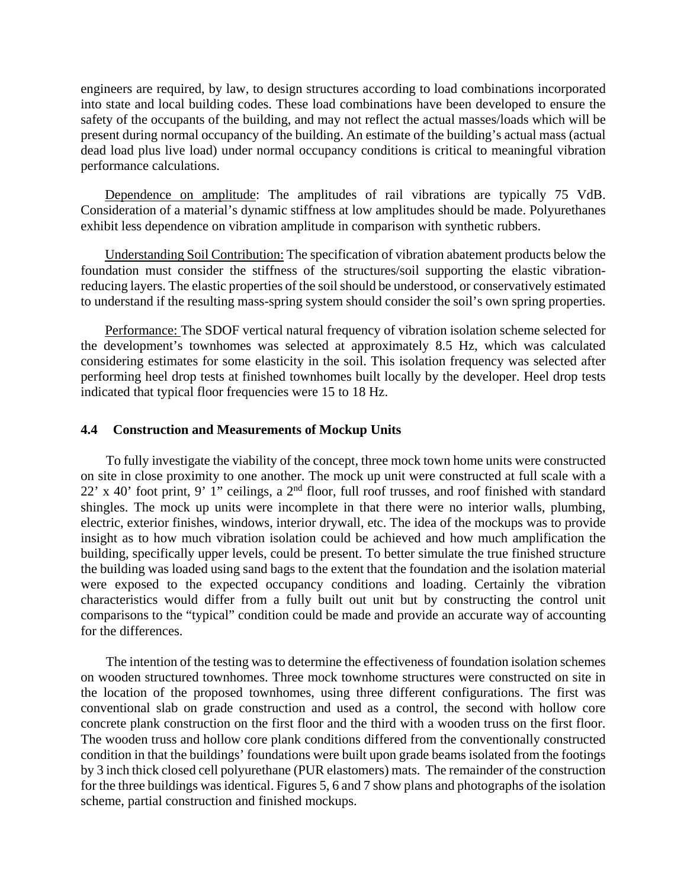engineers are required, by law, to design structures according to load combinations incorporated into state and local building codes. These load combinations have been developed to ensure the safety of the occupants of the building, and may not reflect the actual masses/loads which will be present during normal occupancy of the building. An estimate of the building's actual mass (actual dead load plus live load) under normal occupancy conditions is critical to meaningful vibration performance calculations.

Dependence on amplitude: The amplitudes of rail vibrations are typically 75 VdB. Consideration of a material's dynamic stiffness at low amplitudes should be made. Polyurethanes exhibit less dependence on vibration amplitude in comparison with synthetic rubbers.

Understanding Soil Contribution: The specification of vibration abatement products below the foundation must consider the stiffness of the structures/soil supporting the elastic vibrationreducing layers. The elastic properties of the soil should be understood, or conservatively estimated to understand if the resulting mass-spring system should consider the soil's own spring properties.

Performance: The SDOF vertical natural frequency of vibration isolation scheme selected for the development's townhomes was selected at approximately 8.5 Hz, which was calculated considering estimates for some elasticity in the soil. This isolation frequency was selected after performing heel drop tests at finished townhomes built locally by the developer. Heel drop tests indicated that typical floor frequencies were 15 to 18 Hz.

#### **4.4 Construction and Measurements of Mockup Units**

To fully investigate the viability of the concept, three mock town home units were constructed on site in close proximity to one another. The mock up unit were constructed at full scale with a 22' x 40' foot print, 9' 1" ceilings, a 2nd floor, full roof trusses, and roof finished with standard shingles. The mock up units were incomplete in that there were no interior walls, plumbing, electric, exterior finishes, windows, interior drywall, etc. The idea of the mockups was to provide insight as to how much vibration isolation could be achieved and how much amplification the building, specifically upper levels, could be present. To better simulate the true finished structure the building was loaded using sand bags to the extent that the foundation and the isolation material were exposed to the expected occupancy conditions and loading. Certainly the vibration characteristics would differ from a fully built out unit but by constructing the control unit comparisons to the "typical" condition could be made and provide an accurate way of accounting for the differences.

The intention of the testing was to determine the effectiveness of foundation isolation schemes on wooden structured townhomes. Three mock townhome structures were constructed on site in the location of the proposed townhomes, using three different configurations. The first was conventional slab on grade construction and used as a control, the second with hollow core concrete plank construction on the first floor and the third with a wooden truss on the first floor. The wooden truss and hollow core plank conditions differed from the conventionally constructed condition in that the buildings' foundations were built upon grade beams isolated from the footings by 3 inch thick closed cell polyurethane (PUR elastomers) mats. The remainder of the construction for the three buildings was identical. Figures 5, 6 and 7 show plans and photographs of the isolation scheme, partial construction and finished mockups.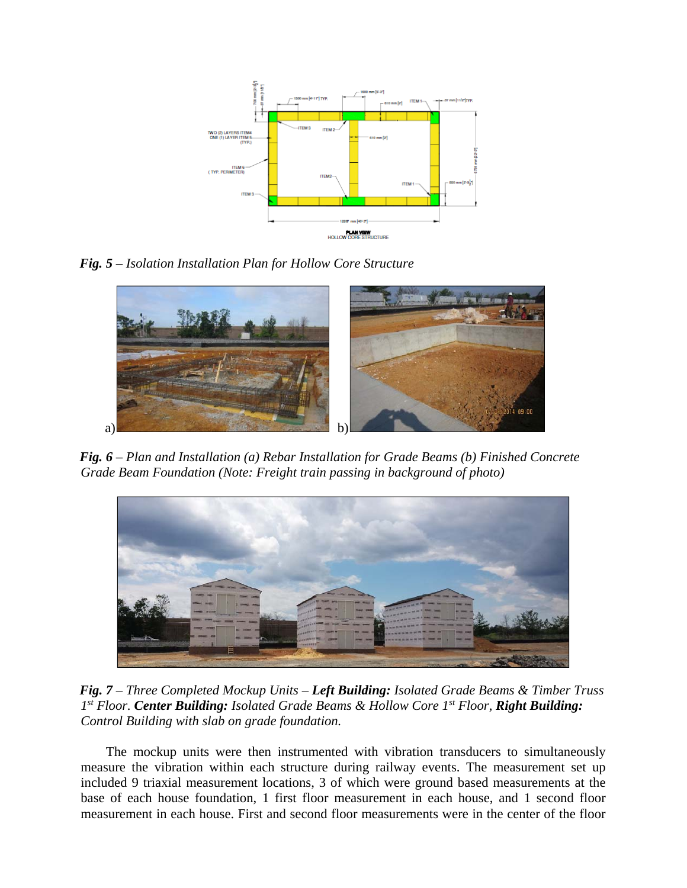

*Fig. 5 – Isolation Installation Plan for Hollow Core Structure* 



*Fig. 6 – Plan and Installation (a) Rebar Installation for Grade Beams (b) Finished Concrete Grade Beam Foundation (Note: Freight train passing in background of photo)* 



*Fig. 7 – Three Completed Mockup Units – Left Building: Isolated Grade Beams & Timber Truss 1st Floor. Center Building: Isolated Grade Beams & Hollow Core 1st Floor, Right Building: Control Building with slab on grade foundation.* 

The mockup units were then instrumented with vibration transducers to simultaneously measure the vibration within each structure during railway events. The measurement set up included 9 triaxial measurement locations, 3 of which were ground based measurements at the base of each house foundation, 1 first floor measurement in each house, and 1 second floor measurement in each house. First and second floor measurements were in the center of the floor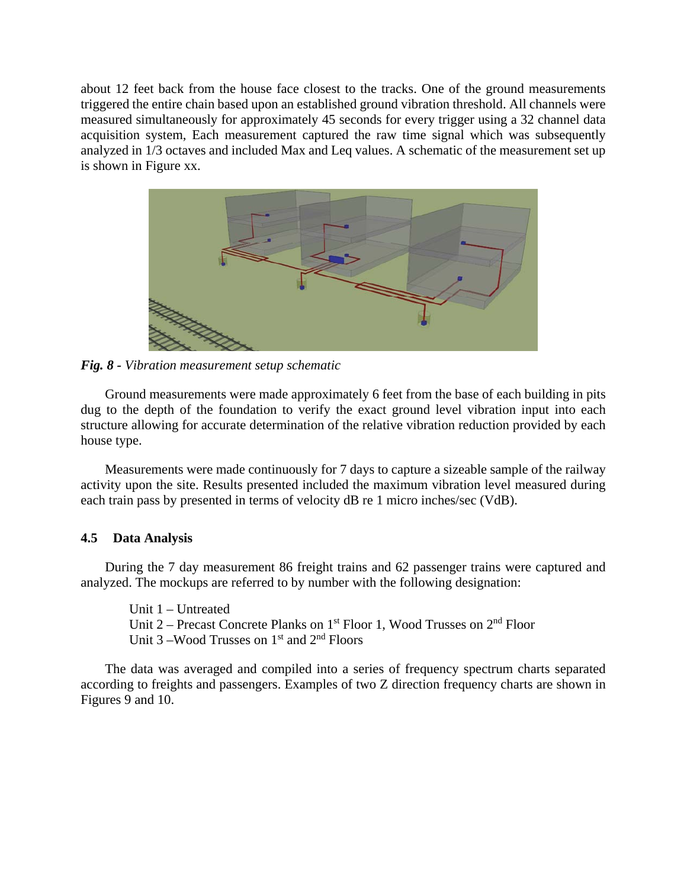about 12 feet back from the house face closest to the tracks. One of the ground measurements triggered the entire chain based upon an established ground vibration threshold. All channels were measured simultaneously for approximately 45 seconds for every trigger using a 32 channel data acquisition system, Each measurement captured the raw time signal which was subsequently analyzed in 1/3 octaves and included Max and Leq values. A schematic of the measurement set up is shown in Figure xx.



*Fig. 8 - Vibration measurement setup schematic* 

Ground measurements were made approximately 6 feet from the base of each building in pits dug to the depth of the foundation to verify the exact ground level vibration input into each structure allowing for accurate determination of the relative vibration reduction provided by each house type.

Measurements were made continuously for 7 days to capture a sizeable sample of the railway activity upon the site. Results presented included the maximum vibration level measured during each train pass by presented in terms of velocity dB re 1 micro inches/sec (VdB).

#### **4.5 Data Analysis**

During the 7 day measurement 86 freight trains and 62 passenger trains were captured and analyzed. The mockups are referred to by number with the following designation:

Unit 1 – Untreated Unit 2 – Precast Concrete Planks on 1<sup>st</sup> Floor 1, Wood Trusses on 2<sup>nd</sup> Floor Unit 3 – Wood Trusses on  $1<sup>st</sup>$  and  $2<sup>nd</sup>$  Floors

The data was averaged and compiled into a series of frequency spectrum charts separated according to freights and passengers. Examples of two Z direction frequency charts are shown in Figures 9 and 10.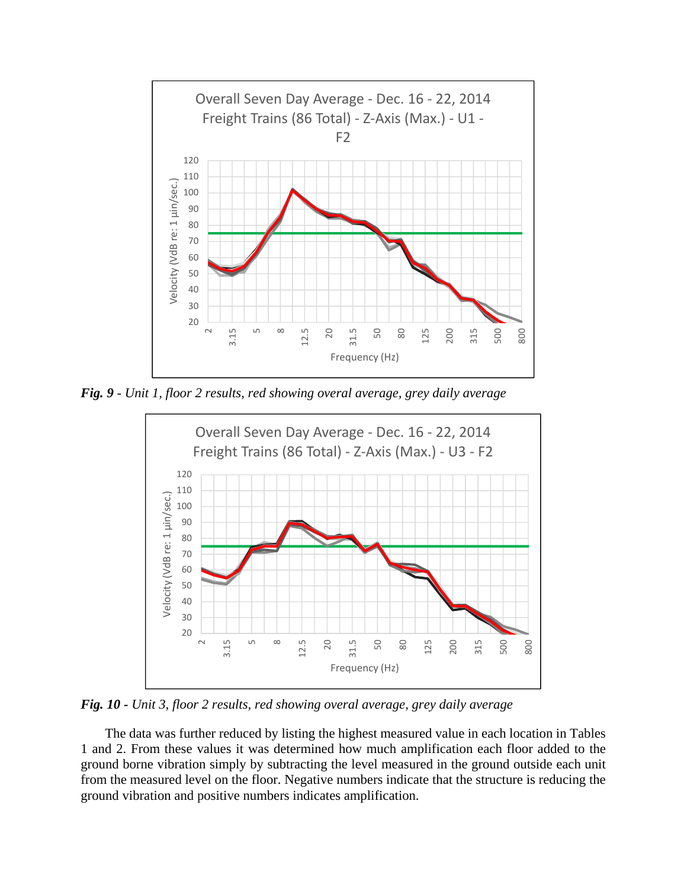

*Fig. 9 - Unit 1, floor 2 results, red showing overal average, grey daily average* 



*Fig. 10 - Unit 3, floor 2 results, red showing overal average, grey daily average* 

The data was further reduced by listing the highest measured value in each location in Tables 1 and 2. From these values it was determined how much amplification each floor added to the ground borne vibration simply by subtracting the level measured in the ground outside each unit from the measured level on the floor. Negative numbers indicate that the structure is reducing the ground vibration and positive numbers indicates amplification.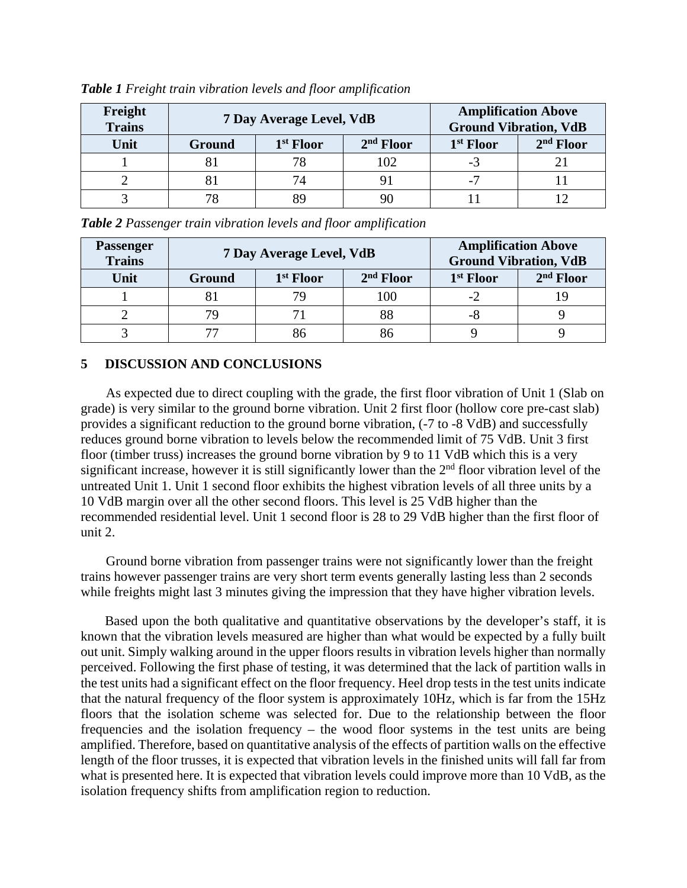| Freight<br>Trains |        | 7 Day Average Level, VdB | <b>Amplification Above</b><br><b>Ground Vibration, VdB</b> |                       |             |
|-------------------|--------|--------------------------|------------------------------------------------------------|-----------------------|-------------|
| Unit              | Ground | 1 <sup>st</sup> Floor    | $2nd$ Floor                                                | 1 <sup>st</sup> Floor | $2nd$ Floor |
|                   |        |                          | 102                                                        | -3                    |             |
|                   |        | 74                       |                                                            | $-7$                  |             |
|                   |        |                          |                                                            |                       |             |

*Table 1 Freight train vibration levels and floor amplification* 

*Table 2 Passenger train vibration levels and floor amplification*

| Passenger<br><b>Trains</b> |        | 7 Day Average Level, VdB | <b>Amplification Above</b><br><b>Ground Vibration, VdB</b> |                       |             |
|----------------------------|--------|--------------------------|------------------------------------------------------------|-----------------------|-------------|
| Unit                       | Ground | 1 <sup>st</sup> Floor    | $2nd$ Floor                                                | 1 <sup>st</sup> Floor | $2nd$ Floor |
|                            |        | 79                       | 100                                                        |                       |             |
|                            | 7с     |                          | 88                                                         | -                     |             |
|                            |        |                          |                                                            |                       |             |

# **5 DISCUSSION AND CONCLUSIONS**

As expected due to direct coupling with the grade, the first floor vibration of Unit 1 (Slab on grade) is very similar to the ground borne vibration. Unit 2 first floor (hollow core pre-cast slab) provides a significant reduction to the ground borne vibration, (-7 to -8 VdB) and successfully reduces ground borne vibration to levels below the recommended limit of 75 VdB. Unit 3 first floor (timber truss) increases the ground borne vibration by 9 to 11 VdB which this is a very significant increase, however it is still significantly lower than the  $2<sup>nd</sup>$  floor vibration level of the untreated Unit 1. Unit 1 second floor exhibits the highest vibration levels of all three units by a 10 VdB margin over all the other second floors. This level is 25 VdB higher than the recommended residential level. Unit 1 second floor is 28 to 29 VdB higher than the first floor of unit 2.

Ground borne vibration from passenger trains were not significantly lower than the freight trains however passenger trains are very short term events generally lasting less than 2 seconds while freights might last 3 minutes giving the impression that they have higher vibration levels.

Based upon the both qualitative and quantitative observations by the developer's staff, it is known that the vibration levels measured are higher than what would be expected by a fully built out unit. Simply walking around in the upper floors results in vibration levels higher than normally perceived. Following the first phase of testing, it was determined that the lack of partition walls in the test units had a significant effect on the floor frequency. Heel drop tests in the test units indicate that the natural frequency of the floor system is approximately 10Hz, which is far from the 15Hz floors that the isolation scheme was selected for. Due to the relationship between the floor frequencies and the isolation frequency – the wood floor systems in the test units are being amplified. Therefore, based on quantitative analysis of the effects of partition walls on the effective length of the floor trusses, it is expected that vibration levels in the finished units will fall far from what is presented here. It is expected that vibration levels could improve more than 10 VdB, as the isolation frequency shifts from amplification region to reduction.